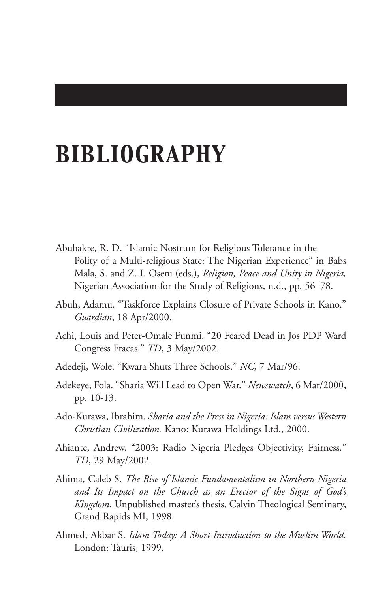## *BIBLIOGRAPHY*

- Abubakre, R. D. "Islamic Nostrum for Religious Tolerance in the Polity of a Multi-religious State: The Nigerian Experience" in Babs Mala, S. and Z. I. Oseni (eds.), *Religion, Peace and Unity in Nigeria,* Nigerian Association for the Study of Religions, n.d., pp. 56–78.
- Abuh, Adamu. "Taskforce Explains Closure of Private Schools in Kano." *Guardian*, 18 Apr/2000.
- Achi, Louis and Peter-Omale Funmi. "20 Feared Dead in Jos PDP Ward Congress Fracas." *TD*, 3 May/2002.
- Adedeji, Wole. "Kwara Shuts Three Schools." *NC*, 7 Mar/96.
- Adekeye, Fola. "Sharia Will Lead to Open War." *Newswatch*, 6 Mar/2000, pp. 10-13.
- Ado-Kurawa, Ibrahim. *Sharia and the Press in Nigeria: Islam versus Western Christian Civilization.* Kano: Kurawa Holdings Ltd., 2000.
- Ahiante, Andrew. "2003: Radio Nigeria Pledges Objectivity, Fairness." *TD*, 29 May/2002.
- Ahima, Caleb S. *The Rise of Islamic Fundamentalism in Northern Nigeria and Its Impact on the Church as an Erector of the Signs of God's Kingdom.* Unpublished master's thesis, Calvin Theological Seminary, Grand Rapids MI, 1998.
- Ahmed, Akbar S. *Islam Today: A Short Introduction to the Muslim World.* London: Tauris, 1999.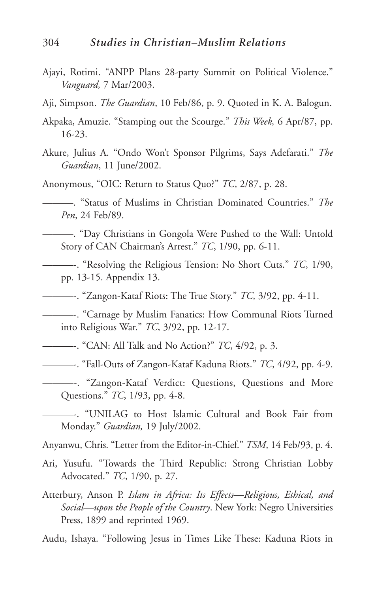- Ajayi, Rotimi. "ANPP Plans 28-party Summit on Political Violence." *Vanguard,* 7 Mar/2003.
- Aji, Simpson. *The Guardian*, 10 Feb/86, p. 9. Quoted in K. A. Balogun.
- Akpaka, Amuzie. "Stamping out the Scourge." *This Week,* 6 Apr/87, pp. 16-23.
- Akure, Julius A. "Ondo Won't Sponsor Pilgrims, Says Adefarati." *The Guardian*, 11 June/2002.
- Anonymous, "OIC: Return to Status Quo?" *TC*, 2/87, p. 28.
- ———. "Status of Muslims in Christian Dominated Countries." *The Pen*, 24 Feb/89.
- ———. "Day Christians in Gongola Were Pushed to the Wall: Untold Story of CAN Chairman's Arrest." *TC*, 1/90, pp. 6-11.
	- ———-. "Resolving the Religious Tension: No Short Cuts." *TC*, 1/90, pp. 13-15. Appendix 13.
- ———-. "Zangon-Kataf Riots: The True Story." *TC*, 3/92, pp. 4-11.
	- ———-. "Carnage by Muslim Fanatics: How Communal Riots Turned into Religious War." *TC*, 3/92, pp. 12-17.
- ———-. "CAN: All Talk and No Action?" *TC*, 4/92, p. 3.
- ———-. "Fall-Outs of Zangon-Kataf Kaduna Riots." *TC*, 4/92, pp. 4-9.
- ———-. "Zangon-Kataf Verdict: Questions, Questions and More Questions." *TC*, 1/93, pp. 4-8.

———-. "UNILAG to Host Islamic Cultural and Book Fair from Monday." *Guardian,* 19 July/2002.

- Anyanwu, Chris. "Letter from the Editor-in-Chief." *TSM*, 14 Feb/93, p. 4.
- Ari, Yusufu. "Towards the Third Republic: Strong Christian Lobby Advocated." *TC*, 1/90, p. 27.
- Atterbury, Anson P. *Islam in Africa: Its Effects—Religious, Ethical, and Social—upon the People of the Country*. New York: Negro Universities Press, 1899 and reprinted 1969.
- Audu, Ishaya. "Following Jesus in Times Like These: Kaduna Riots in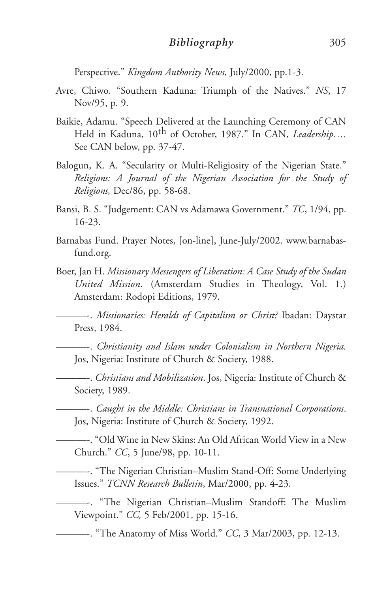## *Bibliography* 305

Perspective." *Kingdom Authority News*, July/2000, pp.1-3.

- Avre, Chiwo. "Southern Kaduna: Triumph of the Natives." *NS*, 17 Nov/95, p. 9.
- Baikie, Adamu. "Speech Delivered at the Launching Ceremony of CAN Held in Kaduna, 10th of October, 1987." In CAN, *Leadership….* See CAN below, pp. 37-47.
- Balogun, K. A. "Secularity or Multi-Religiosity of the Nigerian State." *Religions: A Journal of the Nigerian Association for the Study of Religions,* Dec/86, pp. 58-68.
- Bansi, B. S. "Judgement: CAN vs Adamawa Government." *TC*, 1/94, pp. 16-23.
- Barnabas Fund. Prayer Notes, [on-line], June-July/2002. www.barnabasfund.org.
- Boer, Jan H. *Missionary Messengers of Liberation: A Case Study of the Sudan United Mission.* (Amsterdam Studies in Theology, Vol. 1.) Amsterdam: Rodopi Editions, 1979.

———-. *Missionaries: Heralds of Capitalism or Christ?* Ibadan: Daystar Press, 1984.

———-. *Christianity and Islam under Colonialism in Northern Nigeria.* Jos, Nigeria: Institute of Church & Society, 1988.

———-. *Christians and Mobilization*. Jos, Nigeria: Institute of Church & Society, 1989.

———-. *Caught in the Middle: Christians in Transnational Corporations*. Jos, Nigeria: Institute of Church & Society, 1992.

———-. "Old Wine in New Skins: An Old African World View in a New Church." *CC*, 5 June/98, pp. 10-11.

———-. "The Nigerian Christian–Muslim Stand-Off: Some Underlying Issues." *TCNN Research Bulletin*, Mar/2000, pp. 4-23.

———-. "The Nigerian Christian–Muslim Standoff: The Muslim Viewpoint." *CC,* 5 Feb/2001, pp. 15-16.

———-. "The Anatomy of Miss World." *CC*, 3 Mar/2003, pp. 12-13.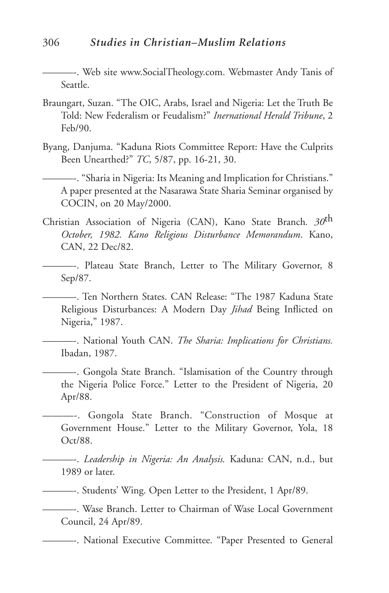———-. Web site www.SocialTheology.com. Webmaster Andy Tanis of Seattle.

- Braungart, Suzan. "The OIC, Arabs, Israel and Nigeria: Let the Truth Be Told: New Federalism or Feudalism?" *Inernational Herald Tribune*, 2 Feb/90.
- Byang, Danjuma. "Kaduna Riots Committee Report: Have the Culprits Been Unearthed?" *TC*, 5/87, pp. 16-21, 30.

———-. "Sharia in Nigeria: Its Meaning and Implication for Christians." A paper presented at the Nasarawa State Sharia Seminar organised by COCIN, on 20 May/2000.

- Christian Association of Nigeria (CAN), Kano State Branch*. 30*th *October, 1982. Kano Religious Disturbance Memorandum*. Kano, CAN, 22 Dec/82.
- ———-. Plateau State Branch, Letter to The Military Governor, 8 Sep/87.

———-. Ten Northern States. CAN Release: "The 1987 Kaduna State Religious Disturbances: A Modern Day *Jihad* Being Inflicted on Nigeria," 1987.

———-. National Youth CAN. *The Sharia: Implications for Christians.* Ibadan, 1987.

———-. Gongola State Branch. "Islamisation of the Country through the Nigeria Police Force." Letter to the President of Nigeria, 20 Apr/88.

———-. Gongola State Branch. "Construction of Mosque at Government House." Letter to the Military Governor, Yola, 18 Oct/88.

———-. *Leadership in Nigeria: An Analysis.* Kaduna: CAN, n.d., but 1989 or later.

———-. Students' Wing. Open Letter to the President, 1 Apr/89.

———-. Wase Branch. Letter to Chairman of Wase Local Government Council, 24 Apr/89.

———-. National Executive Committee. "Paper Presented to General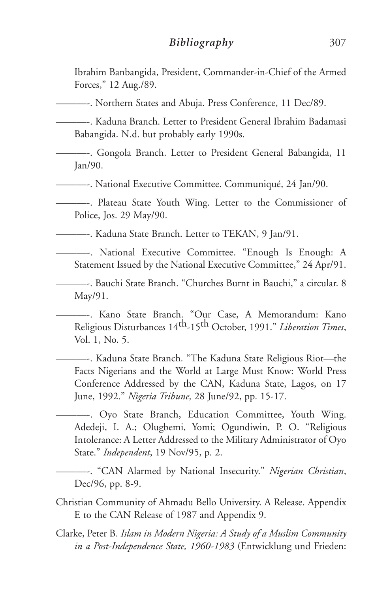Ibrahim Banbangida, President, Commander-in-Chief of the Armed Forces," 12 Aug./89.

———-. Northern States and Abuja. Press Conference, 11 Dec/89.

———-. Kaduna Branch. Letter to President General Ibrahim Badamasi Babangida. N.d. but probably early 1990s.

———-. Gongola Branch. Letter to President General Babangida, 11 Jan/90.

———-. National Executive Committee. Communiqué, 24 Jan/90.

———-. Plateau State Youth Wing. Letter to the Commissioner of Police, Jos. 29 May/90.

———-. Kaduna State Branch. Letter to TEKAN, 9 Jan/91.

———-. National Executive Committee. "Enough Is Enough: A Statement Issued by the National Executive Committee," 24 Apr/91.

———-. Bauchi State Branch. "Churches Burnt in Bauchi," a circular. 8 May/91.

———-. Kano State Branch. "Our Case, A Memorandum: Kano Religious Disturbances 14th-15th October, 1991." *Liberation Times*, Vol. 1, No. 5.

———-. Kaduna State Branch. "The Kaduna State Religious Riot—the Facts Nigerians and the World at Large Must Know: World Press Conference Addressed by the CAN, Kaduna State, Lagos, on 17 June, 1992." *Nigeria Tribune,* 28 June/92, pp. 15-17.

———-. Oyo State Branch, Education Committee, Youth Wing. Adedeji, I. A.; Olugbemi, Yomi; Ogundiwin, P. O. "Religious Intolerance: A Letter Addressed to the Military Administrator of Oyo State." *Independent*, 19 Nov/95, p. 2.

———-. "CAN Alarmed by National Insecurity." *Nigerian Christian*, Dec/96, pp. 8-9.

Christian Community of Ahmadu Bello University. A Release. Appendix E to the CAN Release of 1987 and Appendix 9.

Clarke, Peter B. *Islam in Modern Nigeria: A Study of a Muslim Community in a Post-Independence State, 1960-1983* (Entwicklung und Frieden: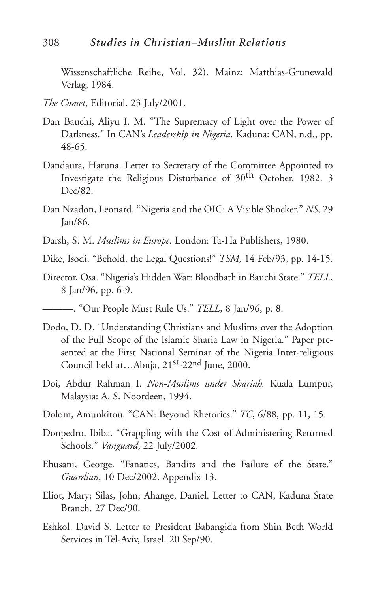Wissenschaftliche Reihe, Vol. 32). Mainz: Matthias-Grunewald Verlag, 1984.

- *The Comet*, Editorial. 23 July/2001.
- Dan Bauchi, Aliyu I. M. "The Supremacy of Light over the Power of Darkness." In CAN's *Leadership in Nigeria*. Kaduna: CAN, n.d., pp. 48-65.
- Dandaura, Haruna. Letter to Secretary of the Committee Appointed to Investigate the Religious Disturbance of 30th October, 1982. 3 Dec/82.
- Dan Nzadon, Leonard. "Nigeria and the OIC: A Visible Shocker." *NS*, 29 Jan/86.
- Darsh, S. M. *Muslims in Europe*. London: Ta-Ha Publishers, 1980.
- Dike, Isodi. "Behold, the Legal Questions!" *TSM,* 14 Feb/93, pp. 14-15.
- Director, Osa. "Nigeria's Hidden War: Bloodbath in Bauchi State." *TELL*, 8 Jan/96, pp. 6-9.
- ———. "Our People Must Rule Us." *TELL*, 8 Jan/96, p. 8.
- Dodo, D. D. "Understanding Christians and Muslims over the Adoption of the Full Scope of the Islamic Sharia Law in Nigeria." Paper presented at the First National Seminar of the Nigeria Inter-religious Council held at...Abuja, 21<sup>st</sup>-22<sup>nd</sup> June, 2000.
- Doi, Abdur Rahman I. *Non-Muslims under Shariah.* Kuala Lumpur, Malaysia: A. S. Noordeen, 1994.
- Dolom, Amunkitou. "CAN: Beyond Rhetorics." *TC*, 6/88, pp. 11, 15.
- Donpedro, Ibiba. "Grappling with the Cost of Administering Returned Schools." *Vanguard*, 22 July/2002.
- Ehusani, George. "Fanatics, Bandits and the Failure of the State." *Guardian*, 10 Dec/2002. Appendix 13.
- Eliot, Mary; Silas, John; Ahange, Daniel. Letter to CAN, Kaduna State Branch. 27 Dec/90.
- Eshkol, David S. Letter to President Babangida from Shin Beth World Services in Tel-Aviv, Israel. 20 Sep/90.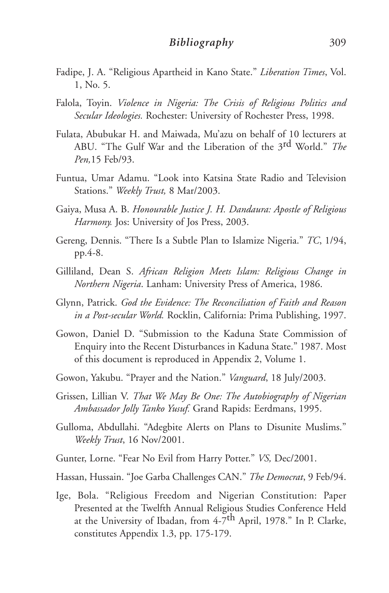- Fadipe, J. A. "Religious Apartheid in Kano State." *Liberation Times*, Vol. 1, No. 5.
- Falola, Toyin. *Violence in Nigeria: The Crisis of Religious Politics and Secular Ideologies.* Rochester: University of Rochester Press, 1998.
- Fulata, Abubukar H. and Maiwada, Mu'azu on behalf of 10 lecturers at ABU. "The Gulf War and the Liberation of the 3rd World." *The Pen,*15 Feb/93.
- Funtua, Umar Adamu. "Look into Katsina State Radio and Television Stations." *Weekly Trust,* 8 Mar/2003.
- Gaiya, Musa A. B. *Honourable Justice J. H. Dandaura: Apostle of Religious Harmony.* Jos: University of Jos Press, 2003.
- Gereng, Dennis. "There Is a Subtle Plan to Islamize Nigeria." *TC*, 1/94, pp.4-8.
- Gilliland, Dean S. *African Religion Meets Islam: Religious Change in Northern Nigeria*. Lanham: University Press of America, 1986.
- Glynn, Patrick. *God the Evidence: The Reconciliation of Faith and Reason in a Post-secular World.* Rocklin, California: Prima Publishing, 1997.
- Gowon, Daniel D. "Submission to the Kaduna State Commission of Enquiry into the Recent Disturbances in Kaduna State." 1987. Most of this document is reproduced in Appendix 2, Volume 1.
- Gowon, Yakubu. "Prayer and the Nation." *Vanguard*, 18 July/2003.
- Grissen, Lillian V. *That We May Be One: The Autobiography of Nigerian Ambassador Jolly Tanko Yusuf.* Grand Rapids: Eerdmans, 1995.
- Gulloma, Abdullahi. "Adegbite Alerts on Plans to Disunite Muslims." *Weekly Trust*, 16 Nov/2001.
- Gunter, Lorne. "Fear No Evil from Harry Potter." *VS,* Dec/2001.
- Hassan, Hussain. "Joe Garba Challenges CAN." *The Democrat*, 9 Feb/94.
- Ige, Bola. "Religious Freedom and Nigerian Constitution: Paper Presented at the Twelfth Annual Religious Studies Conference Held at the University of Ibadan, from 4-7th April, 1978." In P. Clarke, constitutes Appendix 1.3, pp. 175-179.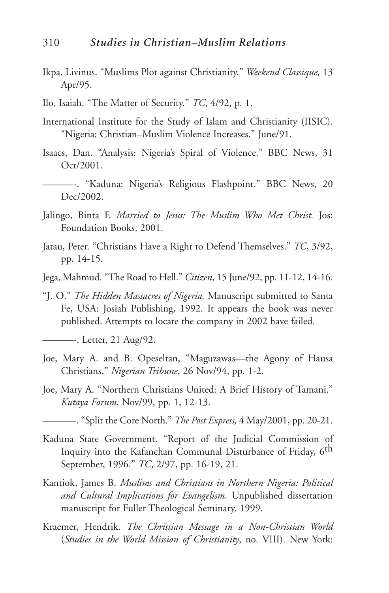- Ikpa, Livinus. "Muslims Plot against Christianity." *Weekend Classique,* 13 Apr/95.
- Ilo, Isaiah. "The Matter of Security." *TC*, 4/92, p. 1.
- International Institute for the Study of Islam and Christianity (IISIC). "Nigeria: Christian–Muslim Violence Increases." June/91.
- Isaacs, Dan. "Analysis: Nigeria's Spiral of Violence." BBC News, 31 Oct/2001.
	- ———-. "Kaduna: Nigeria's Religious Flashpoint." BBC News, 20 Dec/2002.
- Jalingo, Binta F. *Married to Jesus: The Muslim Who Met Christ.* Jos: Foundation Books, 2001.
- Jatau, Peter. "Christians Have a Right to Defend Themselves." *TC*, 3/92, pp. 14-15.
- Jega, Mahmud. "The Road to Hell." *Citizen*, 15 June/92, pp. 11-12, 14-16.
- "J. O." *The Hidden Massacres of Nigeria.* Manuscript submitted to Santa Fe, USA: Josiah Publishing, 1992. It appears the book was never published. Attempts to locate the company in 2002 have failed.

———-. Letter, 21 Aug/92.

- Joe, Mary A. and B. Opeseltan, "Maguzawas—the Agony of Hausa Christians." *Nigerian Tribune*, 26 Nov/94, pp. 1-2.
- Joe, Mary A. "Northern Christians United: A Brief History of Tamani." *Kutaya Forum*, Nov/99, pp. 1, 12-13.

———-. "Split the Core North." *The Post Express,* 4 May/2001, pp. 20-21.

- Kaduna State Government. "Report of the Judicial Commission of Inquiry into the Kafanchan Communal Disturbance of Friday, 6th September, 1996." *TC*, 2/97, pp. 16-19, 21.
- Kantiok, James B. *Muslims and Christians in Northern Nigeria: Political and Cultural Implications for Evangelism.* Unpublished dissertation manuscript for Fuller Theological Seminary, 1999.
- Kraemer, Hendrik. *The Christian Message in a Non-Christian World* (*Studies in the World Mission of Christianity*, no. VIII). New York: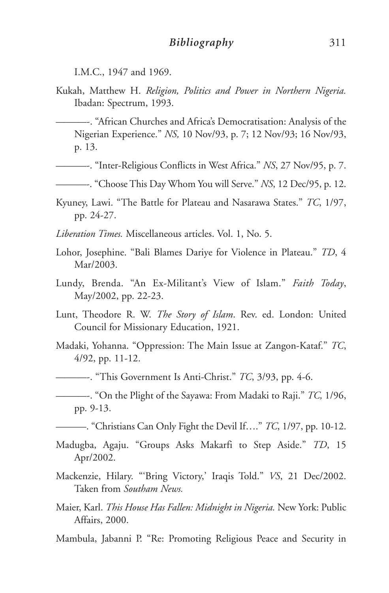I.M.C., 1947 and 1969.

Kukah, Matthew H. *Religion, Politics and Power in Northern Nigeria.* Ibadan: Spectrum, 1993.

———-. "African Churches and Africa's Democratisation: Analysis of the Nigerian Experience." *NS,* 10 Nov/93, p. 7; 12 Nov/93; 16 Nov/93, p. 13.

———-. "Inter-Religious Conflicts in West Africa." *NS*, 27 Nov/95, p. 7.

———-. "Choose This Day Whom You will Serve." *NS*, 12 Dec/95, p. 12.

Kyuney, Lawi. "The Battle for Plateau and Nasarawa States." *TC*, 1/97, pp. 24-27.

*Liberation Times.* Miscellaneous articles. Vol. 1, No. 5.

- Lohor, Josephine. "Bali Blames Dariye for Violence in Plateau." *TD*, 4 Mar/2003.
- Lundy, Brenda. "An Ex-Militant's View of Islam." *Faith Today*, May/2002, pp. 22-23.
- Lunt, Theodore R. W. *The Story of Islam*. Rev. ed. London: United Council for Missionary Education, 1921.
- Madaki, Yohanna. "Oppression: The Main Issue at Zangon-Kataf." *TC*, 4/92, pp. 11-12.

———-. "This Government Is Anti-Christ." *TC*, 3/93, pp. 4-6.

———-. "On the Plight of the Sayawa: From Madaki to Raji." *TC,* 1/96, pp. 9-13.

———. "Christians Can Only Fight the Devil If…." *TC*, 1/97, pp. 10-12.

- Madugba, Agaju. "Groups Asks Makarfi to Step Aside." *TD*, 15 Apr/2002.
- Mackenzie, Hilary. "'Bring Victory,' Iraqis Told." *VS*, 21 Dec/2002. Taken from *Southam News.*
- Maier, Karl. *This House Has Fallen: Midnight in Nigeria.* New York: Public Affairs, 2000.
- Mambula, Jabanni P. "Re: Promoting Religious Peace and Security in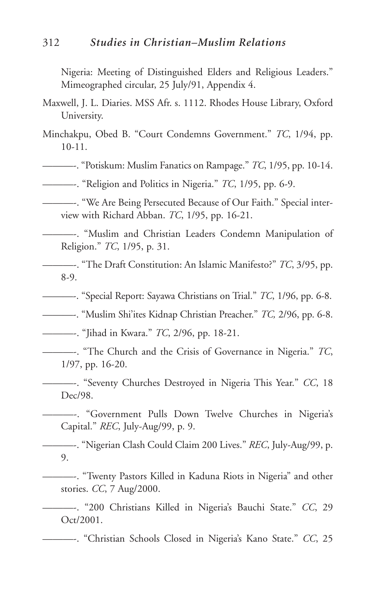## 312 *Studies in Christian–Muslim Relations*

Nigeria: Meeting of Distinguished Elders and Religious Leaders." Mimeographed circular, 25 July/91, Appendix 4.

Maxwell, J. L. Diaries. MSS Afr. s. 1112. Rhodes House Library, Oxford University.

Minchakpu, Obed B. "Court Condemns Government." *TC*, 1/94, pp. 10-11.

———-. "Potiskum: Muslim Fanatics on Rampage." *TC*, 1/95, pp. 10-14.

———-. "Religion and Politics in Nigeria." *TC*, 1/95, pp. 6-9.

———-. "We Are Being Persecuted Because of Our Faith." Special interview with Richard Abban. *TC*, 1/95, pp. 16-21.

———-. "Muslim and Christian Leaders Condemn Manipulation of Religion." *TC*, 1/95, p. 31.

———-. "The Draft Constitution: An Islamic Manifesto?" *TC*, 3/95, pp. 8-9.

———-. "Special Report: Sayawa Christians on Trial." *TC*, 1/96, pp. 6-8.

———-. "Muslim Shi'ites Kidnap Christian Preacher." *TC,* 2/96, pp. 6-8.

———-. "Jihad in Kwara." *TC*, 2/96, pp. 18-21.

———-. "The Church and the Crisis of Governance in Nigeria." *TC*, 1/97, pp. 16-20.

———-. "Seventy Churches Destroyed in Nigeria This Year." *CC*, 18 Dec/98.

———-. "Government Pulls Down Twelve Churches in Nigeria's Capital." *REC*, July-Aug/99, p. 9.

———-. "Nigerian Clash Could Claim 200 Lives." *REC*, July-Aug/99, p. 9.

———-. "Twenty Pastors Killed in Kaduna Riots in Nigeria" and other stories. *CC*, 7 Aug/2000.

———-. "200 Christians Killed in Nigeria's Bauchi State." *CC*, 29 Oct/2001.

———-. "Christian Schools Closed in Nigeria's Kano State." *CC*, 25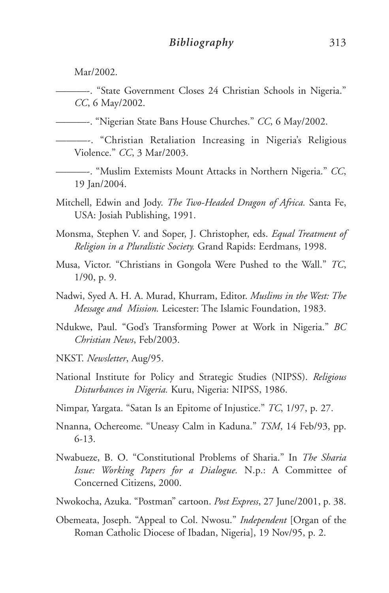Mar/2002.

———-. "State Government Closes 24 Christian Schools in Nigeria." *CC*, 6 May/2002.

———-. "Nigerian State Bans House Churches." *CC*, 6 May/2002.

———-. "Christian Retaliation Increasing in Nigeria's Religious Violence." *CC*, 3 Mar/2003.

———-. "Muslim Extemists Mount Attacks in Northern Nigeria." *CC*, 19 Jan/2004.

- Mitchell, Edwin and Jody. *The Two-Headed Dragon of Africa.* Santa Fe, USA: Josiah Publishing, 1991.
- Monsma, Stephen V. and Soper, J. Christopher, eds. *Equal Treatment of Religion in a Pluralistic Society.* Grand Rapids: Eerdmans, 1998.
- Musa, Victor. "Christians in Gongola Were Pushed to the Wall." *TC*, 1/90, p. 9.
- Nadwi, Syed A. H. A. Murad, Khurram, Editor. *Muslims in the West: The Message and Mission.* Leicester: The Islamic Foundation, 1983.
- Ndukwe, Paul. "God's Transforming Power at Work in Nigeria." *BC Christian News*, Feb/2003.
- NKST. *Newsletter*, Aug/95.
- National Institute for Policy and Strategic Studies (NIPSS). *Religious Disturbances in Nigeria.* Kuru, Nigeria: NIPSS, 1986.
- Nimpar, Yargata. "Satan Is an Epitome of Injustice." *TC*, 1/97, p. 27.
- Nnanna, Ochereome. "Uneasy Calm in Kaduna." *TSM*, 14 Feb/93, pp. 6-13.
- Nwabueze, B. O. "Constitutional Problems of Sharia." In *The Sharia Issue: Working Papers for a Dialogue.* N.p.: A Committee of Concerned Citizens, 2000.
- Nwokocha, Azuka. "Postman" cartoon. *Post Express*, 27 June/2001, p. 38.
- Obemeata, Joseph. "Appeal to Col. Nwosu." *Independent* [Organ of the Roman Catholic Diocese of Ibadan, Nigeria], 19 Nov/95, p. 2.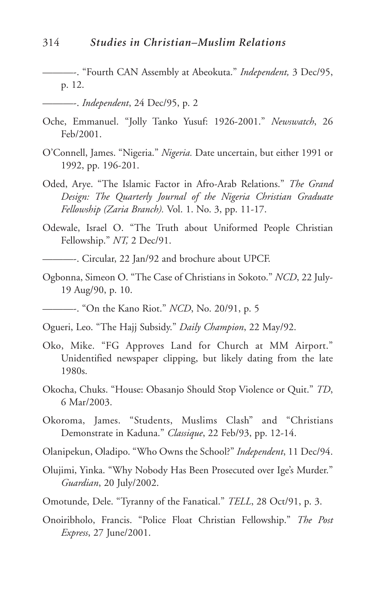———-. "Fourth CAN Assembly at Abeokuta." *Independent,* 3 Dec/95, p. 12.

———-. *Independent*, 24 Dec/95, p. 2

- Oche, Emmanuel. "Jolly Tanko Yusuf: 1926-2001." *Newswatch*, 26 Feb/2001.
- O'Connell, James. "Nigeria." *Nigeria.* Date uncertain, but either 1991 or 1992, pp. 196-201.
- Oded, Arye. "The Islamic Factor in Afro-Arab Relations." *The Grand Design: The Quarterly Journal of the Nigeria Christian Graduate Fellowship (Zaria Branch).* Vol. 1. No. 3, pp. 11-17.
- Odewale, Israel O. "The Truth about Uniformed People Christian Fellowship." *NT,* 2 Dec/91.
- ———-. Circular, 22 Jan/92 and brochure about UPCF.
- Ogbonna, Simeon O. "The Case of Christians in Sokoto." *NCD*, 22 July-19 Aug/90, p. 10.

- Ogueri, Leo. "The Hajj Subsidy." *Daily Champion*, 22 May/92.
- Oko, Mike. "FG Approves Land for Church at MM Airport." Unidentified newspaper clipping, but likely dating from the late 1980s.
- Okocha, Chuks. "House: Obasanjo Should Stop Violence or Quit." *TD*, 6 Mar/2003.
- Okoroma, James. "Students, Muslims Clash" and "Christians Demonstrate in Kaduna." *Classique*, 22 Feb/93, pp. 12-14.
- Olanipekun, Oladipo. "Who Owns the School?" *Independent*, 11 Dec/94.
- Olujimi, Yinka. "Why Nobody Has Been Prosecuted over Ige's Murder." *Guardian*, 20 July/2002.
- Omotunde, Dele. "Tyranny of the Fanatical." *TELL*, 28 Oct/91, p. 3.
- Onoiribholo, Francis. "Police Float Christian Fellowship." *The Post Express*, 27 June/2001.

<sup>———-. &</sup>quot;On the Kano Riot." *NCD*, No. 20/91, p. 5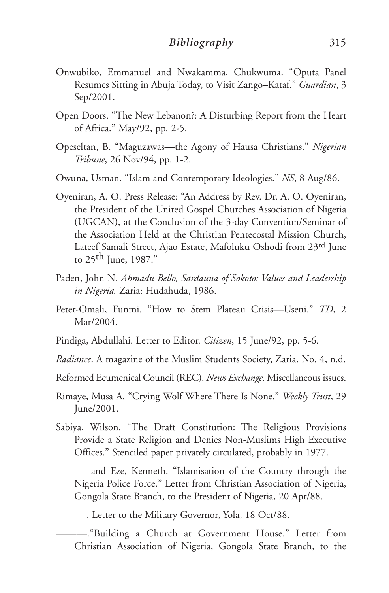- Onwubiko, Emmanuel and Nwakamma, Chukwuma. "Oputa Panel Resumes Sitting in Abuja Today, to Visit Zango–Kataf." *Guardian*, 3 Sep/2001.
- Open Doors. "The New Lebanon?: A Disturbing Report from the Heart of Africa." May/92, pp. 2-5.
- Opeseltan, B. "Maguzawas—the Agony of Hausa Christians." *Nigerian Tribune*, 26 Nov/94, pp. 1-2.
- Owuna, Usman. "Islam and Contemporary Ideologies." *NS*, 8 Aug/86.
- Oyeniran, A. O. Press Release: "An Address by Rev. Dr. A. O. Oyeniran, the President of the United Gospel Churches Association of Nigeria (UGCAN), at the Conclusion of the 3-day Convention/Seminar of the Association Held at the Christian Pentecostal Mission Church, Lateef Samali Street, Ajao Estate, Mafoluku Oshodi from 23rd June to  $25$ <sup>th</sup> June, 1987."
- Paden, John N. *Ahmadu Bello, Sardauna of Sokoto: Values and Leadership in Nigeria.* Zaria: Hudahuda, 1986.
- Peter-Omali, Funmi. "How to Stem Plateau Crisis—Useni." *TD*, 2 Mar/2004.
- Pindiga, Abdullahi. Letter to Editor. *Citizen*, 15 June/92, pp. 5-6.
- *Radiance*. A magazine of the Muslim Students Society, Zaria. No. 4, n.d.
- Reformed Ecumenical Council (REC). *News Exchange*. Miscellaneous issues.
- Rimaye, Musa A. "Crying Wolf Where There Is None." *Weekly Trust*, 29 June/2001.
- Sabiya, Wilson. "The Draft Constitution: The Religious Provisions Provide a State Religion and Denies Non-Muslims High Executive Offices." Stenciled paper privately circulated, probably in 1977.
	- ——— and Eze, Kenneth. "Islamisation of the Country through the Nigeria Police Force." Letter from Christian Association of Nigeria, Gongola State Branch, to the President of Nigeria, 20 Apr/88.
- ———. Letter to the Military Governor, Yola, 18 Oct/88.
	- ———."Building a Church at Government House." Letter from Christian Association of Nigeria, Gongola State Branch, to the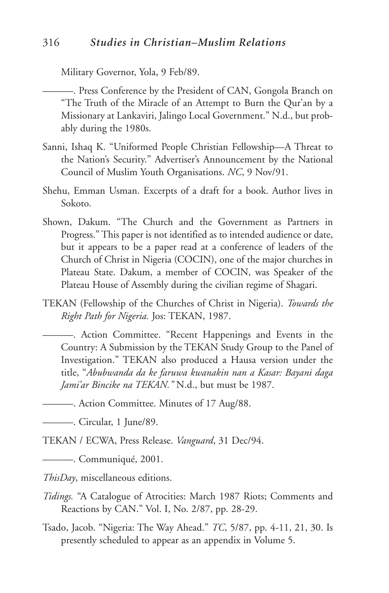Military Governor, Yola, 9 Feb/89.

———. Press Conference by the President of CAN, Gongola Branch on "The Truth of the Miracle of an Attempt to Burn the Qur'an by a Missionary at Lankaviri, Jalingo Local Government." N.d., but probably during the 1980s.

- Sanni, Ishaq K. "Uniformed People Christian Fellowship—A Threat to the Nation's Security." Advertiser's Announcement by the National Council of Muslim Youth Organisations. *NC*, 9 Nov/91.
- Shehu, Emman Usman. Excerpts of a draft for a book. Author lives in Sokoto.
- Shown, Dakum. "The Church and the Government as Partners in Progress." This paper is not identified as to intended audience or date, but it appears to be a paper read at a conference of leaders of the Church of Christ in Nigeria (COCIN), one of the major churches in Plateau State. Dakum, a member of COCIN, was Speaker of the Plateau House of Assembly during the civilian regime of Shagari.
- TEKAN (Fellowship of the Churches of Christ in Nigeria). *Towards the Right Path for Nigeria.* Jos: TEKAN, 1987.

———. Action Committee. "Recent Happenings and Events in the Country: A Submission by the TEKAN Study Group to the Panel of Investigation." TEKAN also produced a Hausa version under the title, "*Abubwanda da ke faruwa kwanakin nan a Kasar: Bayani daga Jami'ar Bincike na TEKAN."* N.d., but must be 1987.

———. Action Committee. Minutes of 17 Aug/88.

———. Circular, 1 June/89.

TEKAN / ECWA, Press Release. *Vanguard*, 31 Dec/94.

———. Communiqué, 2001.

*ThisDay*, miscellaneous editions.

*Tidings.* "A Catalogue of Atrocities: March 1987 Riots; Comments and Reactions by CAN." Vol. I, No. 2/87, pp. 28-29.

Tsado, Jacob. "Nigeria: The Way Ahead." *TC*, 5/87, pp. 4-11, 21, 30. Is presently scheduled to appear as an appendix in Volume 5.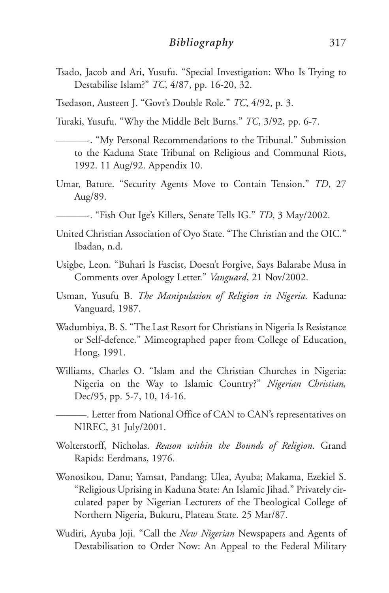- Tsado, Jacob and Ari, Yusufu. "Special Investigation: Who Is Trying to Destabilise Islam?" *TC*, 4/87, pp. 16-20, 32.
- Tsedason, Austeen J. "Govt's Double Role." *TC*, 4/92, p. 3.
- Turaki, Yusufu. "Why the Middle Belt Burns." *TC*, 3/92, pp. 6-7.
	- ———-. "My Personal Recommendations to the Tribunal." Submission to the Kaduna State Tribunal on Religious and Communal Riots, 1992. 11 Aug/92. Appendix 10.
- Umar, Bature. "Security Agents Move to Contain Tension." *TD*, 27 Aug/89.
- ———-. "Fish Out Ige's Killers, Senate Tells IG." *TD*, 3 May/2002.
- United Christian Association of Oyo State. "The Christian and the OIC." Ibadan, n.d.
- Usigbe, Leon. "Buhari Is Fascist, Doesn't Forgive, Says Balarabe Musa in Comments over Apology Letter." *Vanguard*, 21 Nov/2002.
- Usman, Yusufu B. *The Manipulation of Religion in Nigeria*. Kaduna: Vanguard, 1987.
- Wadumbiya, B. S. "The Last Resort for Christians in Nigeria Is Resistance or Self-defence." Mimeographed paper from College of Education, Hong, 1991.
- Williams, Charles O. "Islam and the Christian Churches in Nigeria: Nigeria on the Way to Islamic Country?" *Nigerian Christian,* Dec/95, pp. 5-7, 10, 14-16.
- ———. Letter from National Office of CAN to CAN's representatives on NIREC, 31 July/2001.
- Wolterstorff, Nicholas. *Reason within the Bounds of Religion*. Grand Rapids: Eerdmans, 1976.
- Wonosikou, Danu; Yamsat, Pandang; Ulea, Ayuba; Makama, Ezekiel S. "Religious Uprising in Kaduna State: An Islamic Jihad." Privately circulated paper by Nigerian Lecturers of the Theological College of Northern Nigeria, Bukuru, Plateau State. 25 Mar/87.
- Wudiri, Ayuba Joji. "Call the *New Nigerian* Newspapers and Agents of Destabilisation to Order Now: An Appeal to the Federal Military